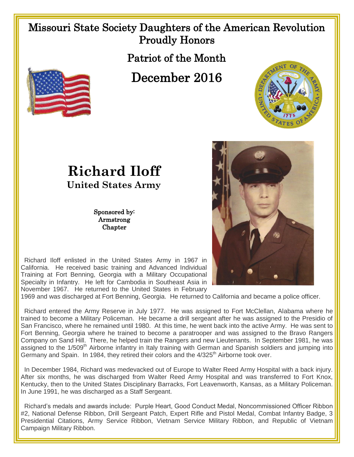## Missouri State Society Daughters of the American Revolution Proudly Honors

Patriot of the Month

December 2016





**Richard Iloff United States Army**

> Sponsored by: Armstrong **Chapter**

 Richard Iloff enlisted in the United States Army in 1967 in California. He received basic training and Advanced Individual Training at Fort Benning, Georgia with a Military Occupational Specialty in Infantry. He left for Cambodia in Southeast Asia in November 1967. He returned to the United States in February

1969 and was discharged at Fort Benning, Georgia. He returned to California and became a police officer.

 Richard entered the Army Reserve in July 1977. He was assigned to Fort McClellan, Alabama where he trained to become a Military Policeman. He became a drill sergeant after he was assigned to the Presidio of San Francisco, where he remained until 1980. At this time, he went back into the active Army. He was sent to Fort Benning, Georgia where he trained to become a paratrooper and was assigned to the Bravo Rangers Company on Sand Hill. There, he helped train the Rangers and new Lieutenants. In September 1981, he was assigned to the 1/509<sup>th</sup> Airborne infantry in Italy training with German and Spanish soldiers and jumping into Germany and Spain. In 1984, they retired their colors and the 4/325<sup>th</sup> Airborne took over.

 In December 1984, Richard was medevacked out of Europe to Walter Reed Army Hospital with a back injury. After six months, he was discharged from Walter Reed Army Hospital and was transferred to Fort Knox, Kentucky, then to the United States Disciplinary Barracks, Fort Leavenworth, Kansas, as a Military Policeman. In June 1991, he was discharged as a Staff Sergeant.

 Richard's medals and awards include: Purple Heart, Good Conduct Medal, Noncommissioned Officer Ribbon #2, National Defense Ribbon, Drill Sergeant Patch, Expert Rifle and Pistol Medal, Combat Infantry Badge, 3 Presidential Citations, Army Service Ribbon, Vietnam Service Military Ribbon, and Republic of Vietnam Campaign Military Ribbon.